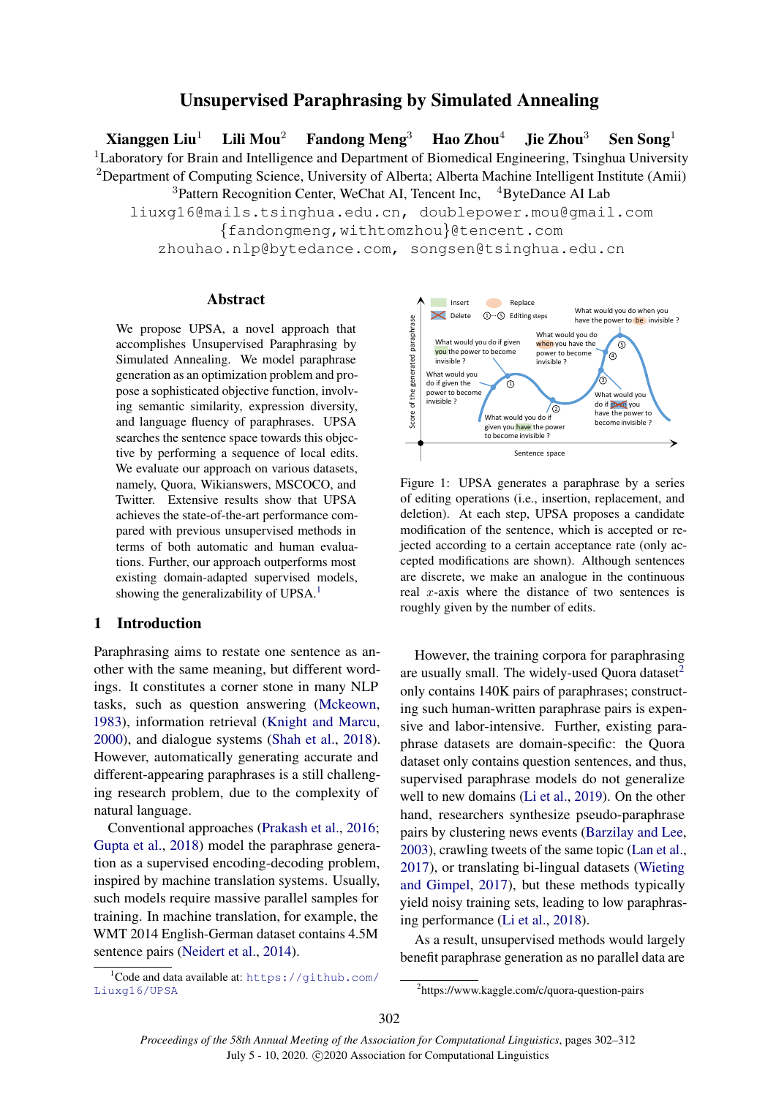# Unsupervised Paraphrasing by Simulated Annealing

Xianggen Liu<sup>1</sup> Lili Mou<sup>2</sup> Fandong Meng<sup>3</sup> Hao Zhou<sup>4</sup> Jie Zhou<sup>3</sup> Sen Song<sup>1</sup> <sup>1</sup>Laboratory for Brain and Intelligence and Department of Biomedical Engineering, Tsinghua University <sup>2</sup>Department of Computing Science, University of Alberta; Alberta Machine Intelligent Institute (Amii)

 $3$ Pattern Recognition Center, WeChat AI, Tencent Inc,  $4B$ yteDance AI Lab

liuxg16@mails.tsinghua.edu.cn, doublepower.mou@gmail.com

{fandongmeng,withtomzhou}@tencent.com

zhouhao.nlp@bytedance.com, songsen@tsinghua.edu.cn

## Abstract

We propose UPSA, a novel approach that accomplishes Unsupervised Paraphrasing by Simulated Annealing. We model paraphrase generation as an optimization problem and propose a sophisticated objective function, involving semantic similarity, expression diversity, and language fluency of paraphrases. UPSA searches the sentence space towards this objective by performing a sequence of local edits. We evaluate our approach on various datasets, namely, Quora, Wikianswers, MSCOCO, and Twitter. Extensive results show that UPSA achieves the state-of-the-art performance compared with previous unsupervised methods in terms of both automatic and human evaluations. Further, our approach outperforms most existing domain-adapted supervised models, showing the generalizability of UPSA.<sup>[1](#page-0-0)</sup> We propose UPSA, a novel approach that<br>accomplishes. Unsupervised Paraphrasing by<br>accomplishes through the simulation of the propose of the symmetric symmetric symmetric symmetric percention as an optimization problem and

# 1 Introduction

Paraphrasing aims to restate one sentence as another with the same meaning, but different wordings. It constitutes a corner stone in many NLP tasks, such as question answering [\(Mckeown,](#page-9-0) [1983\)](#page-9-0), information retrieval [\(Knight and Marcu,](#page-9-1) [2000\)](#page-9-1), and dialogue systems [\(Shah et al.,](#page-10-0) [2018\)](#page-10-0). However, automatically generating accurate and different-appearing paraphrases is a still challenging research problem, due to the complexity of natural language.

Conventional approaches [\(Prakash et al.,](#page-9-2) [2016;](#page-9-2) [Gupta et al.,](#page-9-3) [2018\)](#page-9-3) model the paraphrase generation as a supervised encoding-decoding problem, inspired by machine translation systems. Usually, such models require massive parallel samples for training. In machine translation, for example, the WMT 2014 English-German dataset contains 4.5M sentence pairs [\(Neidert et al.,](#page-9-4) [2014\)](#page-9-4).

<span id="page-0-2"></span>

Figure 1: UPSA generates a paraphrase by a series of editing operations (i.e., insertion, replacement, and deletion). At each step, UPSA proposes a candidate modification of the sentence, which is accepted or rejected according to a certain acceptance rate (only accepted modifications are shown). Although sentences are discrete, we make an analogue in the continuous real  $x$ -axis where the distance of two sentences is roughly given by the number of edits.

However, the training corpora for paraphrasing are usually small. The widely-used Quora dataset $<sup>2</sup>$  $<sup>2</sup>$  $<sup>2</sup>$ </sup> only contains 140K pairs of paraphrases; constructing such human-written paraphrase pairs is expensive and labor-intensive. Further, existing paraphrase datasets are domain-specific: the Quora dataset only contains question sentences, and thus, supervised paraphrase models do not generalize well to new domains [\(Li et al.,](#page-9-5) [2019\)](#page-9-5). On the other hand, researchers synthesize pseudo-paraphrase pairs by clustering news events [\(Barzilay and Lee,](#page-8-0) [2003\)](#page-8-0), crawling tweets of the same topic [\(Lan et al.,](#page-9-6) [2017\)](#page-9-6), or translating bi-lingual datasets [\(Wieting](#page-10-1) [and Gimpel,](#page-10-1) [2017\)](#page-10-1), but these methods typically yield noisy training sets, leading to low paraphrasing performance [\(Li et al.,](#page-9-7) [2018\)](#page-9-7).

As a result, unsupervised methods would largely benefit paraphrase generation as no parallel data are

<span id="page-0-0"></span> $1$ Code and data available at: [https://github.com/](https://github.com/Liuxg16/UPSA)<br>Liuxg16/UPSA

<span id="page-0-1"></span><sup>2</sup> https://www.kaggle.com/c/quora-question-pairs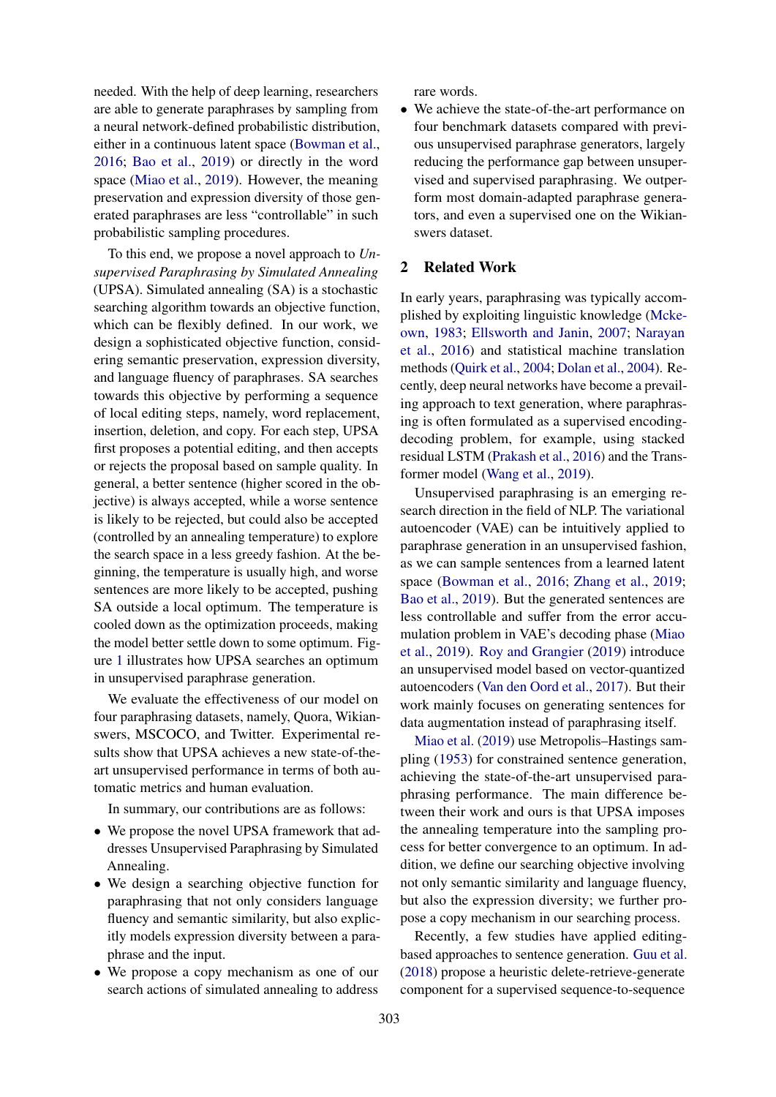needed. With the help of deep learning, researchers are able to generate paraphrases by sampling from a neural network-defined probabilistic distribution, either in a continuous latent space [\(Bowman et al.,](#page-8-1) [2016;](#page-8-1) [Bao et al.,](#page-8-2) [2019\)](#page-8-2) or directly in the word space [\(Miao et al.,](#page-9-8) [2019\)](#page-9-8). However, the meaning preservation and expression diversity of those generated paraphrases are less "controllable" in such probabilistic sampling procedures.

To this end, we propose a novel approach to *Unsupervised Paraphrasing by Simulated Annealing* (UPSA). Simulated annealing (SA) is a stochastic searching algorithm towards an objective function, which can be flexibly defined. In our work, we design a sophisticated objective function, considering semantic preservation, expression diversity, and language fluency of paraphrases. SA searches towards this objective by performing a sequence of local editing steps, namely, word replacement, insertion, deletion, and copy. For each step, UPSA first proposes a potential editing, and then accepts or rejects the proposal based on sample quality. In general, a better sentence (higher scored in the objective) is always accepted, while a worse sentence is likely to be rejected, but could also be accepted (controlled by an annealing temperature) to explore the search space in a less greedy fashion. At the beginning, the temperature is usually high, and worse sentences are more likely to be accepted, pushing SA outside a local optimum. The temperature is cooled down as the optimization proceeds, making the model better settle down to some optimum. Figure [1](#page-0-2) illustrates how UPSA searches an optimum in unsupervised paraphrase generation.

We evaluate the effectiveness of our model on four paraphrasing datasets, namely, Quora, Wikianswers, MSCOCO, and Twitter. Experimental results show that UPSA achieves a new state-of-theart unsupervised performance in terms of both automatic metrics and human evaluation.

In summary, our contributions are as follows:

- We propose the novel UPSA framework that addresses Unsupervised Paraphrasing by Simulated Annealing.
- We design a searching objective function for paraphrasing that not only considers language fluency and semantic similarity, but also explicitly models expression diversity between a paraphrase and the input.
- We propose a copy mechanism as one of our search actions of simulated annealing to address

rare words.

• We achieve the state-of-the-art performance on four benchmark datasets compared with previous unsupervised paraphrase generators, largely reducing the performance gap between unsupervised and supervised paraphrasing. We outperform most domain-adapted paraphrase generators, and even a supervised one on the Wikianswers dataset.

# 2 Related Work

In early years, paraphrasing was typically accomplished by exploiting linguistic knowledge [\(Mcke](#page-9-0)[own,](#page-9-0) [1983;](#page-9-0) [Ellsworth and Janin,](#page-8-3) [2007;](#page-8-3) [Narayan](#page-9-9) [et al.,](#page-9-9) [2016\)](#page-9-9) and statistical machine translation methods [\(Quirk et al.,](#page-9-10) [2004;](#page-9-10) [Dolan et al.,](#page-8-4) [2004\)](#page-8-4). Recently, deep neural networks have become a prevailing approach to text generation, where paraphrasing is often formulated as a supervised encodingdecoding problem, for example, using stacked residual LSTM [\(Prakash et al.,](#page-9-2) [2016\)](#page-9-2) and the Transformer model [\(Wang et al.,](#page-10-2) [2019\)](#page-10-2).

Unsupervised paraphrasing is an emerging research direction in the field of NLP. The variational autoencoder (VAE) can be intuitively applied to paraphrase generation in an unsupervised fashion, as we can sample sentences from a learned latent space [\(Bowman et al.,](#page-8-1) [2016;](#page-8-1) [Zhang et al.,](#page-10-3) [2019;](#page-10-3) [Bao et al.,](#page-8-2) [2019\)](#page-8-2). But the generated sentences are less controllable and suffer from the error accumulation problem in VAE's decoding phase [\(Miao](#page-9-8) [et al.,](#page-9-8) [2019\)](#page-9-8). [Roy and Grangier](#page-9-11) [\(2019\)](#page-9-11) introduce an unsupervised model based on vector-quantized autoencoders [\(Van den Oord et al.,](#page-9-12) [2017\)](#page-9-12). But their work mainly focuses on generating sentences for data augmentation instead of paraphrasing itself.

[Miao et al.](#page-9-8) [\(2019\)](#page-9-8) use Metropolis–Hastings sampling [\(1953\)](#page-9-13) for constrained sentence generation, achieving the state-of-the-art unsupervised paraphrasing performance. The main difference between their work and ours is that UPSA imposes the annealing temperature into the sampling process for better convergence to an optimum. In addition, we define our searching objective involving not only semantic similarity and language fluency, but also the expression diversity; we further propose a copy mechanism in our searching process.

Recently, a few studies have applied editingbased approaches to sentence generation. [Guu et al.](#page-9-14) [\(2018\)](#page-9-14) propose a heuristic delete-retrieve-generate component for a supervised sequence-to-sequence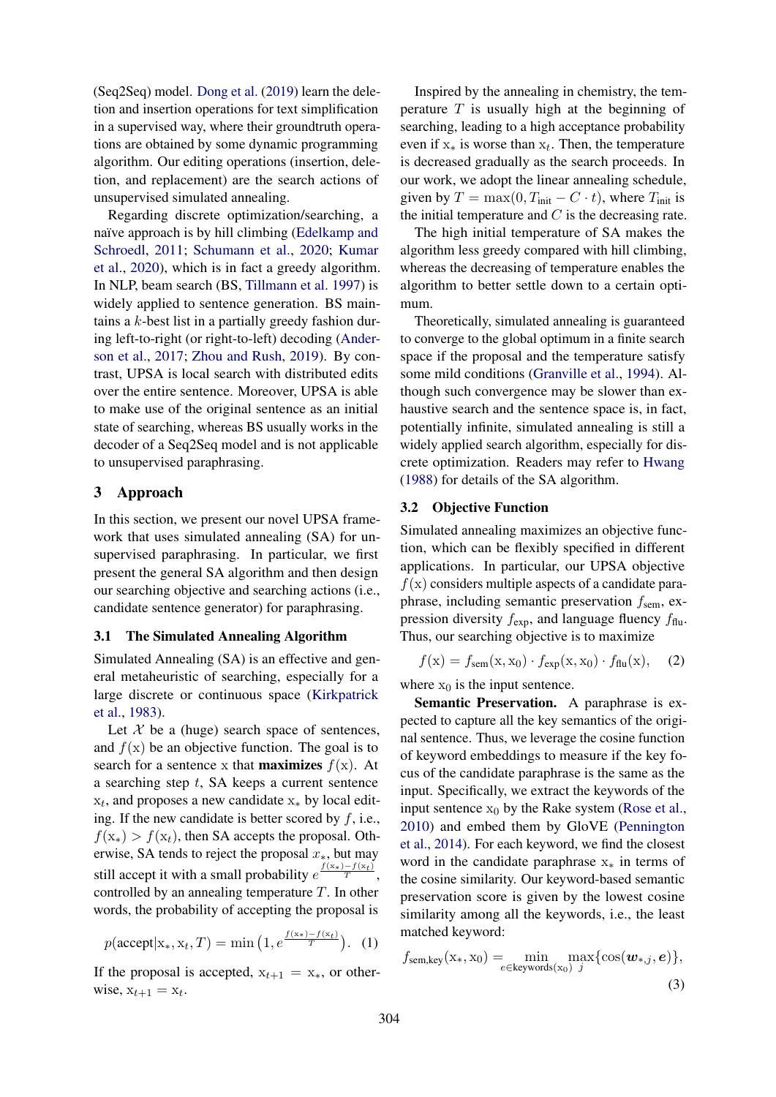(Seq2Seq) model. [Dong et al.](#page-8-5) [\(2019\)](#page-8-5) learn the deletion and insertion operations for text simplification in a supervised way, where their groundtruth operations are obtained by some dynamic programming algorithm. Our editing operations (insertion, deletion, and replacement) are the search actions of unsupervised simulated annealing.

Regarding discrete optimization/searching, a naïve approach is by hill climbing [\(Edelkamp and](#page-8-6) [Schroedl,](#page-8-6) [2011;](#page-8-6) [Schumann et al.,](#page-10-4) [2020;](#page-10-4) [Kumar](#page-9-15) [et al.,](#page-9-15) [2020\)](#page-9-15), which is in fact a greedy algorithm. In NLP, beam search (BS, [Tillmann et al.](#page-10-5) [1997\)](#page-10-5) is widely applied to sentence generation. BS maintains a  $k$ -best list in a partially greedy fashion during left-to-right (or right-to-left) decoding [\(Ander](#page-8-7)[son et al.,](#page-8-7) [2017;](#page-8-7) [Zhou and Rush,](#page-10-6) [2019\)](#page-10-6). By contrast, UPSA is local search with distributed edits over the entire sentence. Moreover, UPSA is able to make use of the original sentence as an initial state of searching, whereas BS usually works in the decoder of a Seq2Seq model and is not applicable to unsupervised paraphrasing.

## 3 Approach

In this section, we present our novel UPSA framework that uses simulated annealing (SA) for unsupervised paraphrasing. In particular, we first present the general SA algorithm and then design our searching objective and searching actions (i.e., candidate sentence generator) for paraphrasing.

## 3.1 The Simulated Annealing Algorithm

Simulated Annealing (SA) is an effective and general metaheuristic of searching, especially for a large discrete or continuous space [\(Kirkpatrick](#page-9-16) [et al.,](#page-9-16) [1983\)](#page-9-16).

Let  $\mathcal X$  be a (huge) search space of sentences, and  $f(x)$  be an objective function. The goal is to search for a sentence x that **maximizes**  $f(x)$ . At a searching step  $t$ , SA keeps a current sentence  $x_t$ , and proposes a new candidate  $x_*$  by local editing. If the new candidate is better scored by  $f$ , i.e.,  $f(x_*) > f(x_t)$ , then SA accepts the proposal. Otherwise, SA tends to reject the proposal  $x<sub>*</sub>$ , but may still accept it with a small probability  $e^{\frac{f(x_*)-f(x_t)}{T}}$ , controlled by an annealing temperature  $T$ . In other words, the probability of accepting the proposal is

$$
p(\text{accept}|x_*, x_t, T) = \min\left(1, e^{\frac{f(x_*)-f(x_t)}{T}}\right).
$$
 (1)

If the proposal is accepted,  $x_{t+1} = x_*$ , or otherwise,  $x_{t+1} = x_t$ .

Inspired by the annealing in chemistry, the temperature  $T$  is usually high at the beginning of searching, leading to a high acceptance probability even if  $x_*$  is worse than  $x_t$ . Then, the temperature is decreased gradually as the search proceeds. In our work, we adopt the linear annealing schedule, given by  $T = \max(0, T_{\text{init}} - C \cdot t)$ , where  $T_{\text{init}}$  is the initial temperature and  $C$  is the decreasing rate.

The high initial temperature of SA makes the algorithm less greedy compared with hill climbing, whereas the decreasing of temperature enables the algorithm to better settle down to a certain optimum.

Theoretically, simulated annealing is guaranteed to converge to the global optimum in a finite search space if the proposal and the temperature satisfy some mild conditions [\(Granville et al.,](#page-9-17) [1994\)](#page-9-17). Although such convergence may be slower than exhaustive search and the sentence space is, in fact, potentially infinite, simulated annealing is still a widely applied search algorithm, especially for discrete optimization. Readers may refer to [Hwang](#page-9-18) [\(1988\)](#page-9-18) for details of the SA algorithm.

## 3.2 Objective Function

Simulated annealing maximizes an objective function, which can be flexibly specified in different applications. In particular, our UPSA objective  $f(x)$  considers multiple aspects of a candidate paraphrase, including semantic preservation  $f_{\rm sem}$ , expression diversity  $f_{\text{exp}}$ , and language fluency  $f_{\text{flu}}$ . Thus, our searching objective is to maximize

<span id="page-2-0"></span>
$$
f(\mathbf{x}) = f_{\text{sem}}(\mathbf{x}, \mathbf{x}_0) \cdot f_{\text{exp}}(\mathbf{x}, \mathbf{x}_0) \cdot f_{\text{flu}}(\mathbf{x}), \quad (2)
$$

where  $x_0$  is the input sentence.

Semantic Preservation. A paraphrase is expected to capture all the key semantics of the original sentence. Thus, we leverage the cosine function of keyword embeddings to measure if the key focus of the candidate paraphrase is the same as the input. Specifically, we extract the keywords of the input sentence  $x_0$  by the Rake system [\(Rose et al.,](#page-9-19) [2010\)](#page-9-19) and embed them by GloVE [\(Pennington](#page-9-20) [et al.,](#page-9-20) [2014\)](#page-9-20). For each keyword, we find the closest word in the candidate paraphrase  $x<sub>*</sub>$  in terms of the cosine similarity. Our keyword-based semantic preservation score is given by the lowest cosine similarity among all the keywords, i.e., the least matched keyword:

<span id="page-2-1"></span>
$$
f_{\text{sem,key}}(\mathbf{x}_{*}, \mathbf{x}_{0}) = \min_{e \in \text{keywords}(\mathbf{x}_{0})} \max_{j} \{ \cos(\boldsymbol{w}_{*,j}, e) \},
$$
\n(3)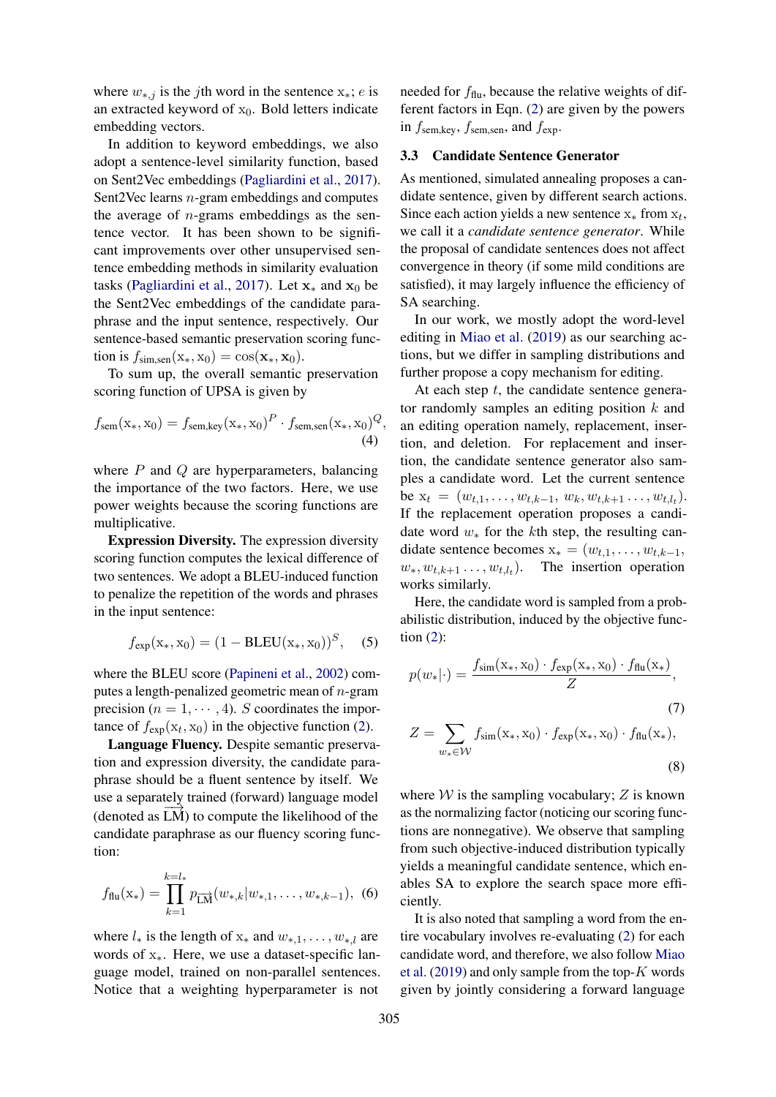where  $w_{*,j}$  is the jth word in the sentence  $x_*; e$  is an extracted keyword of  $x_0$ . Bold letters indicate embedding vectors.

In addition to keyword embeddings, we also adopt a sentence-level similarity function, based on Sent2Vec embeddings [\(Pagliardini et al.,](#page-9-21) [2017\)](#page-9-21). Sent2Vec learns n-gram embeddings and computes the average of  $n$ -grams embeddings as the sentence vector. It has been shown to be significant improvements over other unsupervised sentence embedding methods in similarity evaluation tasks [\(Pagliardini et al.,](#page-9-21) [2017\)](#page-9-21). Let  $x_*$  and  $x_0$  be the Sent2Vec embeddings of the candidate paraphrase and the input sentence, respectively. Our sentence-based semantic preservation scoring function is  $f_{\text{sim.sem}}(\mathbf{x}_*, \mathbf{x}_0) = \cos(\mathbf{x}_*, \mathbf{x}_0)$ .

To sum up, the overall semantic preservation scoring function of UPSA is given by

$$
f_{\text{sem}}(\mathbf{x}_{*}, \mathbf{x}_{0}) = f_{\text{sem,key}}(\mathbf{x}_{*}, \mathbf{x}_{0})^{P} \cdot f_{\text{sem,sen}}(\mathbf{x}_{*}, \mathbf{x}_{0})^{Q},
$$
\n(4)

where  $P$  and  $Q$  are hyperparameters, balancing the importance of the two factors. Here, we use power weights because the scoring functions are multiplicative.

Expression Diversity. The expression diversity scoring function computes the lexical difference of two sentences. We adopt a BLEU-induced function to penalize the repetition of the words and phrases in the input sentence:

$$
f_{exp}(x_*, x_0) = (1 - BLEU(x_*, x_0))^S, (5)
$$

where the BLEU score [\(Papineni et al.,](#page-9-22) [2002\)](#page-9-22) computes a length-penalized geometric mean of  $n$ -gram precision ( $n = 1, \dots, 4$ ). S coordinates the importance of  $f_{\text{exp}}(x_t, x_0)$  in the objective function [\(2\)](#page-2-0).

Language Fluency. Despite semantic preservation and expression diversity, the candidate paraphrase should be a fluent sentence by itself. We use a separately trained (forward) language model  $(denoted as LM)$  to compute the likelihood of the candidate paraphrase as our fluency scoring function:

$$
f_{\text{flu}}(\mathbf{x}_{*}) = \prod_{k=1}^{k=l_{*}} p_{\overrightarrow{\text{LM}}}(w_{*,k}|w_{*,1},\ldots,w_{*,k-1}), \tag{6}
$$

where  $l_*$  is the length of  $x_*$  and  $w_{*,1}, \ldots, w_{*,l}$  are words of  $x_{*}$ . Here, we use a dataset-specific language model, trained on non-parallel sentences. Notice that a weighting hyperparameter is not

needed for  $f_{\text{flu}}$ , because the relative weights of different factors in Eqn. [\(2\)](#page-2-0) are given by the powers in  $f_{\text{sem,key}}$ ,  $f_{\text{sem,sen}}$ , and  $f_{\text{exp}}$ .

#### 3.3 Candidate Sentence Generator

As mentioned, simulated annealing proposes a candidate sentence, given by different search actions. Since each action yields a new sentence  $x_*$  from  $x_t$ , we call it a *candidate sentence generator*. While the proposal of candidate sentences does not affect convergence in theory (if some mild conditions are satisfied), it may largely influence the efficiency of SA searching.

In our work, we mostly adopt the word-level editing in [Miao et al.](#page-9-8) [\(2019\)](#page-9-8) as our searching actions, but we differ in sampling distributions and further propose a copy mechanism for editing.

At each step  $t$ , the candidate sentence generator randomly samples an editing position  $k$  and an editing operation namely, replacement, insertion, and deletion. For replacement and insertion, the candidate sentence generator also samples a candidate word. Let the current sentence be  $x_t = (w_{t,1}, \ldots, w_{t,k-1}, w_k, w_{t,k+1}, \ldots, w_{t,l_t}).$ If the replacement operation proposes a candidate word  $w_*$  for the kth step, the resulting candidate sentence becomes  $x_* = (w_{t,1}, \ldots, w_{t,k-1},$  $w_*, w_{t,k+1}, \ldots, w_{t,l_t}$ . The insertion operation works similarly.

Here, the candidate word is sampled from a probabilistic distribution, induced by the objective function [\(2\)](#page-2-0):

$$
p(w_*|\cdot) = \frac{f_{\text{sim}}(x_*, x_0) \cdot f_{\text{exp}}(x_*, x_0) \cdot f_{\text{flu}}(x_*)}{Z},
$$
\n
$$
Z = \sum_{w_* \in \mathcal{W}} f_{\text{sim}}(x_*, x_0) \cdot f_{\text{exp}}(x_*, x_0) \cdot f_{\text{flu}}(x_*),
$$
\n(8)

where  $W$  is the sampling vocabulary;  $Z$  is known as the normalizing factor (noticing our scoring functions are nonnegative). We observe that sampling from such objective-induced distribution typically yields a meaningful candidate sentence, which enables SA to explore the search space more efficiently.

It is also noted that sampling a word from the entire vocabulary involves re-evaluating [\(2\)](#page-2-0) for each candidate word, and therefore, we also follow [Miao](#page-9-8) [et al.](#page-9-8) [\(2019\)](#page-9-8) and only sample from the top- $K$  words given by jointly considering a forward language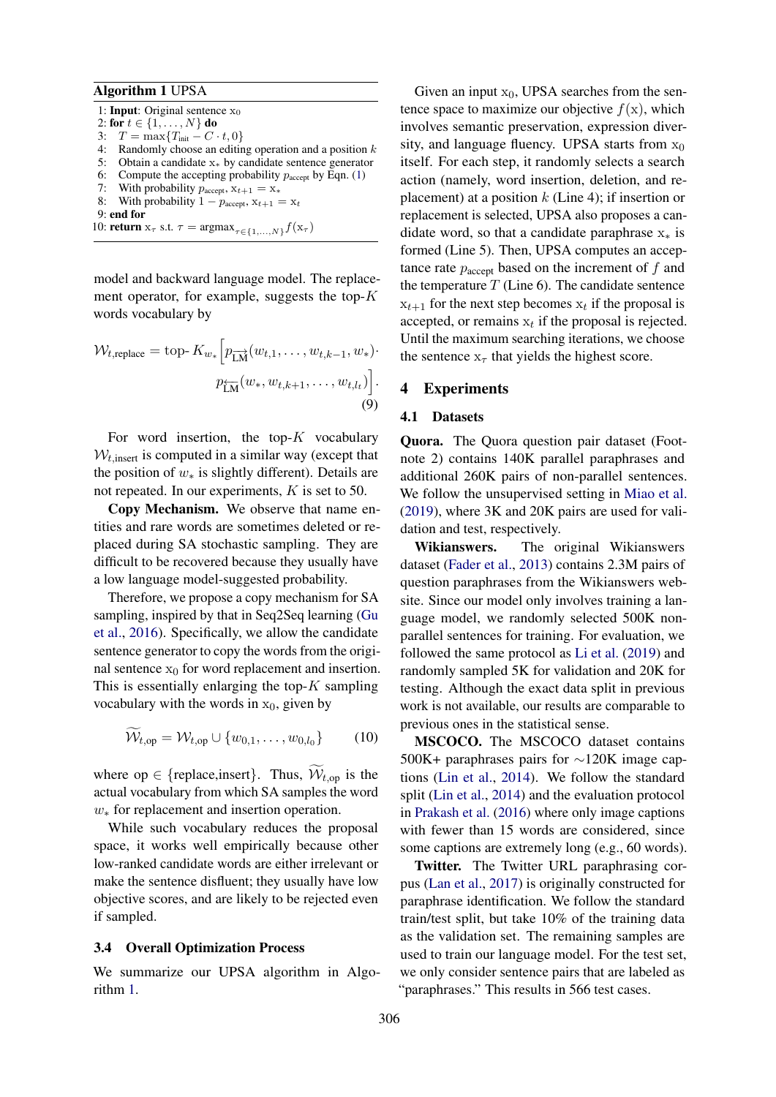#### <span id="page-4-0"></span>Algorithm 1 UPSA

1: **Input**: Original sentence  $x_0$ 2: for  $t \in \{1, ..., N\}$  do 3:  $T = \max\{T_{\text{init}} - C \cdot t, 0\}$ 4: Randomly choose an editing operation and a position  $k$ 5: Obtain a candidate x<sup>∗</sup> by candidate sentence generator 6: Compute the accepting probability  $p_{\text{accept}}$  by Eqn. [\(1\)](#page-2-1) 7: With probability  $p_{\text{accept}}$ ,  $x_{t+1} = x_*$ 8: With probability  $1 - p_{\text{accept}}, x_{t+1} = x_t$ 9: end for 10: **return**  $x_{\tau}$  s.t.  $\tau = \argmax_{\tau \in \{1,...,N\}} f(x_{\tau})$ 

model and backward language model. The replacement operator, for example, suggests the top- $K$ words vocabulary by

$$
\mathcal{W}_{t,\text{replace}} = \text{top-} K_{w_*} \left[ p_{\overrightarrow{\text{LM}}}(w_{t,1}, \dots, w_{t,k-1}, w_*) \cdot p_{\overleftarrow{\text{LM}}}(w_*, w_{t,k+1}, \dots, w_{t,l_t}) \right].
$$
\n(9)

For word insertion, the top- $K$  vocabulary  $W_{t,insert}$  is computed in a similar way (except that the position of  $w_*$  is slightly different). Details are not repeated. In our experiments, K is set to 50.

Copy Mechanism. We observe that name entities and rare words are sometimes deleted or replaced during SA stochastic sampling. They are difficult to be recovered because they usually have a low language model-suggested probability.

Therefore, we propose a copy mechanism for SA sampling, inspired by that in Seq2Seq learning [\(Gu](#page-9-23) [et al.,](#page-9-23) [2016\)](#page-9-23). Specifically, we allow the candidate sentence generator to copy the words from the original sentence  $x_0$  for word replacement and insertion. This is essentially enlarging the top- $K$  sampling vocabulary with the words in  $x_0$ , given by

$$
\mathcal{W}_{t,op} = \mathcal{W}_{t,op} \cup \{w_{0,1}, \dots, w_{0,l_0}\} \tag{10}
$$

where  $op \in \{replace, insert\}$ . Thus,  $W_{t,op}$  is the actual vocabulary from which SA samples the word w<sup>∗</sup> for replacement and insertion operation.

While such vocabulary reduces the proposal space, it works well empirically because other low-ranked candidate words are either irrelevant or make the sentence disfluent; they usually have low objective scores, and are likely to be rejected even if sampled.

### 3.4 Overall Optimization Process

We summarize our UPSA algorithm in Algorithm [1.](#page-4-0)

Given an input  $x_0$ , UPSA searches from the sentence space to maximize our objective  $f(x)$ , which involves semantic preservation, expression diversity, and language fluency. UPSA starts from  $x_0$ itself. For each step, it randomly selects a search action (namely, word insertion, deletion, and replacement) at a position  $k$  (Line 4); if insertion or replacement is selected, UPSA also proposes a candidate word, so that a candidate paraphrase  $x<sub>*</sub>$  is formed (Line 5). Then, UPSA computes an acceptance rate  $p_{\text{accept}}$  based on the increment of f and the temperature  $T$  (Line 6). The candidate sentence  $x_{t+1}$  for the next step becomes  $x_t$  if the proposal is accepted, or remains  $x_t$  if the proposal is rejected. Until the maximum searching iterations, we choose the sentence  $x_{\tau}$  that yields the highest score.

## 4 Experiments

### 4.1 Datasets

Quora. The Quora question pair dataset (Footnote 2) contains 140K parallel paraphrases and additional 260K pairs of non-parallel sentences. We follow the unsupervised setting in [Miao et al.](#page-9-8) [\(2019\)](#page-9-8), where 3K and 20K pairs are used for validation and test, respectively.

Wikianswers. The original Wikianswers dataset [\(Fader et al.,](#page-9-24) [2013\)](#page-9-24) contains 2.3M pairs of question paraphrases from the Wikianswers website. Since our model only involves training a language model, we randomly selected 500K nonparallel sentences for training. For evaluation, we followed the same protocol as [Li et al.](#page-9-5) [\(2019\)](#page-9-5) and randomly sampled 5K for validation and 20K for testing. Although the exact data split in previous work is not available, our results are comparable to previous ones in the statistical sense.

MSCOCO. The MSCOCO dataset contains 500K+ paraphrases pairs for ∼120K image captions [\(Lin et al.,](#page-9-25) [2014\)](#page-9-25). We follow the standard split [\(Lin et al.,](#page-9-25) [2014\)](#page-9-25) and the evaluation protocol in [Prakash et al.](#page-9-2) [\(2016\)](#page-9-2) where only image captions with fewer than 15 words are considered, since some captions are extremely long (e.g., 60 words).

Twitter. The Twitter URL paraphrasing corpus [\(Lan et al.,](#page-9-6) [2017\)](#page-9-6) is originally constructed for paraphrase identification. We follow the standard train/test split, but take 10% of the training data as the validation set. The remaining samples are used to train our language model. For the test set, we only consider sentence pairs that are labeled as "paraphrases." This results in 566 test cases.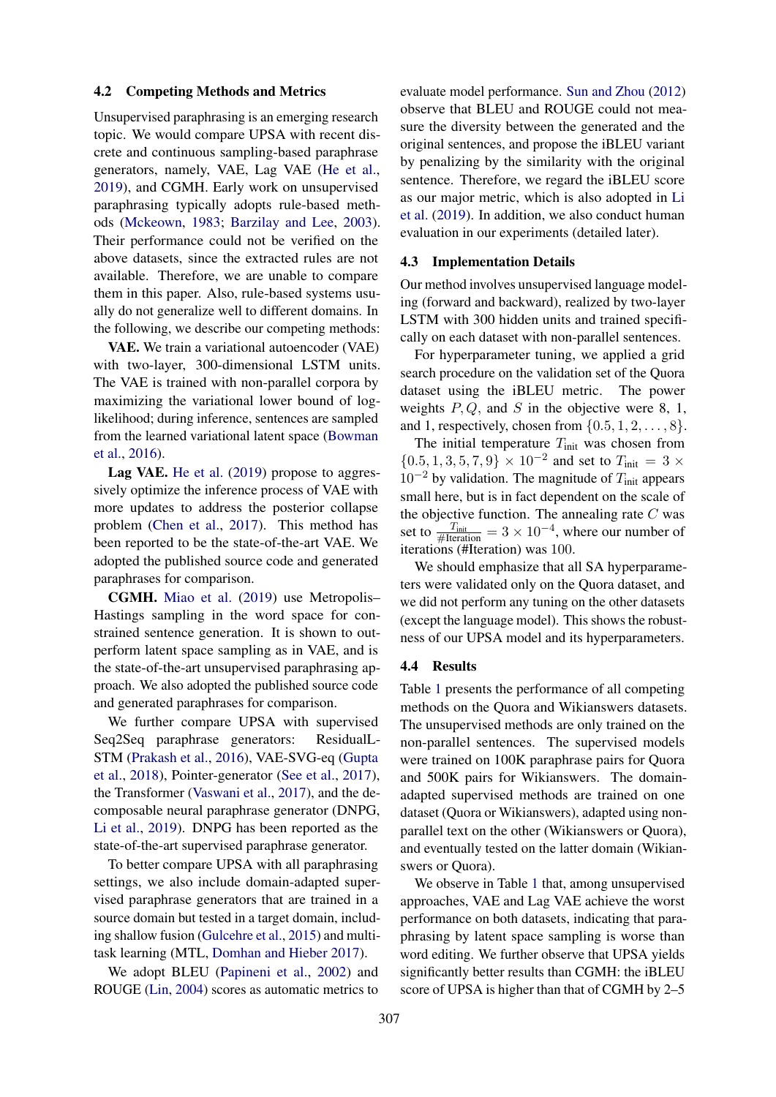## 4.2 Competing Methods and Metrics

Unsupervised paraphrasing is an emerging research topic. We would compare UPSA with recent discrete and continuous sampling-based paraphrase generators, namely, VAE, Lag VAE [\(He et al.,](#page-9-26) [2019\)](#page-9-26), and CGMH. Early work on unsupervised paraphrasing typically adopts rule-based methods [\(Mckeown,](#page-9-0) [1983;](#page-9-0) [Barzilay and Lee,](#page-8-0) [2003\)](#page-8-0). Their performance could not be verified on the above datasets, since the extracted rules are not available. Therefore, we are unable to compare them in this paper. Also, rule-based systems usually do not generalize well to different domains. In the following, we describe our competing methods:

VAE. We train a variational autoencoder (VAE) with two-layer, 300-dimensional LSTM units. The VAE is trained with non-parallel corpora by maximizing the variational lower bound of loglikelihood; during inference, sentences are sampled from the learned variational latent space [\(Bowman](#page-8-1) [et al.,](#page-8-1) [2016\)](#page-8-1).

Lag VAE. [He et al.](#page-9-26) [\(2019\)](#page-9-26) propose to aggressively optimize the inference process of VAE with more updates to address the posterior collapse problem [\(Chen et al.,](#page-8-8) [2017\)](#page-8-8). This method has been reported to be the state-of-the-art VAE. We adopted the published source code and generated paraphrases for comparison.

CGMH. [Miao et al.](#page-9-8) [\(2019\)](#page-9-8) use Metropolis– Hastings sampling in the word space for constrained sentence generation. It is shown to outperform latent space sampling as in VAE, and is the state-of-the-art unsupervised paraphrasing approach. We also adopted the published source code and generated paraphrases for comparison.

We further compare UPSA with supervised Seq2Seq paraphrase generators: ResidualL-STM [\(Prakash et al.,](#page-9-2) [2016\)](#page-9-2), VAE-SVG-eq [\(Gupta](#page-9-3) [et al.,](#page-9-3) [2018\)](#page-9-3), Pointer-generator [\(See et al.,](#page-10-7) [2017\)](#page-10-7), the Transformer [\(Vaswani et al.,](#page-10-8) [2017\)](#page-10-8), and the decomposable neural paraphrase generator (DNPG, [Li et al.,](#page-9-5) [2019\)](#page-9-5). DNPG has been reported as the state-of-the-art supervised paraphrase generator.

To better compare UPSA with all paraphrasing settings, we also include domain-adapted supervised paraphrase generators that are trained in a source domain but tested in a target domain, including shallow fusion [\(Gulcehre et al.,](#page-9-27) [2015\)](#page-9-27) and multitask learning (MTL, [Domhan and Hieber](#page-8-9) [2017\)](#page-8-9).

We adopt BLEU [\(Papineni et al.,](#page-9-22) [2002\)](#page-9-22) and ROUGE [\(Lin,](#page-9-28) [2004\)](#page-9-28) scores as automatic metrics to

evaluate model performance. [Sun and Zhou](#page-10-9) [\(2012\)](#page-10-9) observe that BLEU and ROUGE could not measure the diversity between the generated and the original sentences, and propose the iBLEU variant by penalizing by the similarity with the original sentence. Therefore, we regard the iBLEU score as our major metric, which is also adopted in [Li](#page-9-5) [et al.](#page-9-5) [\(2019\)](#page-9-5). In addition, we also conduct human evaluation in our experiments (detailed later).

## 4.3 Implementation Details

Our method involves unsupervised language modeling (forward and backward), realized by two-layer LSTM with 300 hidden units and trained specifically on each dataset with non-parallel sentences.

For hyperparameter tuning, we applied a grid search procedure on the validation set of the Quora dataset using the iBLEU metric. The power weights  $P, Q$ , and S in the objective were 8, 1, and 1, respectively, chosen from  $\{0.5, 1, 2, \ldots, 8\}$ .

The initial temperature  $T_{\text{init}}$  was chosen from  ${0.5, 1, 3, 5, 7, 9} \times 10^{-2}$  and set to  $T_{\text{init}} = 3 \times$  $10^{-2}$  by validation. The magnitude of  $T_{\text{init}}$  appears small here, but is in fact dependent on the scale of the objective function. The annealing rate  $C$  was set to  $\frac{T_{\text{init}}}{\# \text{Iteration}} = 3 \times 10^{-4}$ , where our number of iterations (#Iteration) was 100.

We should emphasize that all SA hyperparameters were validated only on the Quora dataset, and we did not perform any tuning on the other datasets (except the language model). This shows the robustness of our UPSA model and its hyperparameters.

### 4.4 Results

Table [1](#page-6-0) presents the performance of all competing methods on the Quora and Wikianswers datasets. The unsupervised methods are only trained on the non-parallel sentences. The supervised models were trained on 100K paraphrase pairs for Quora and 500K pairs for Wikianswers. The domainadapted supervised methods are trained on one dataset (Quora or Wikianswers), adapted using nonparallel text on the other (Wikianswers or Quora), and eventually tested on the latter domain (Wikianswers or Quora).

We observe in Table [1](#page-6-0) that, among unsupervised approaches, VAE and Lag VAE achieve the worst performance on both datasets, indicating that paraphrasing by latent space sampling is worse than word editing. We further observe that UPSA yields significantly better results than CGMH: the iBLEU score of UPSA is higher than that of CGMH by 2–5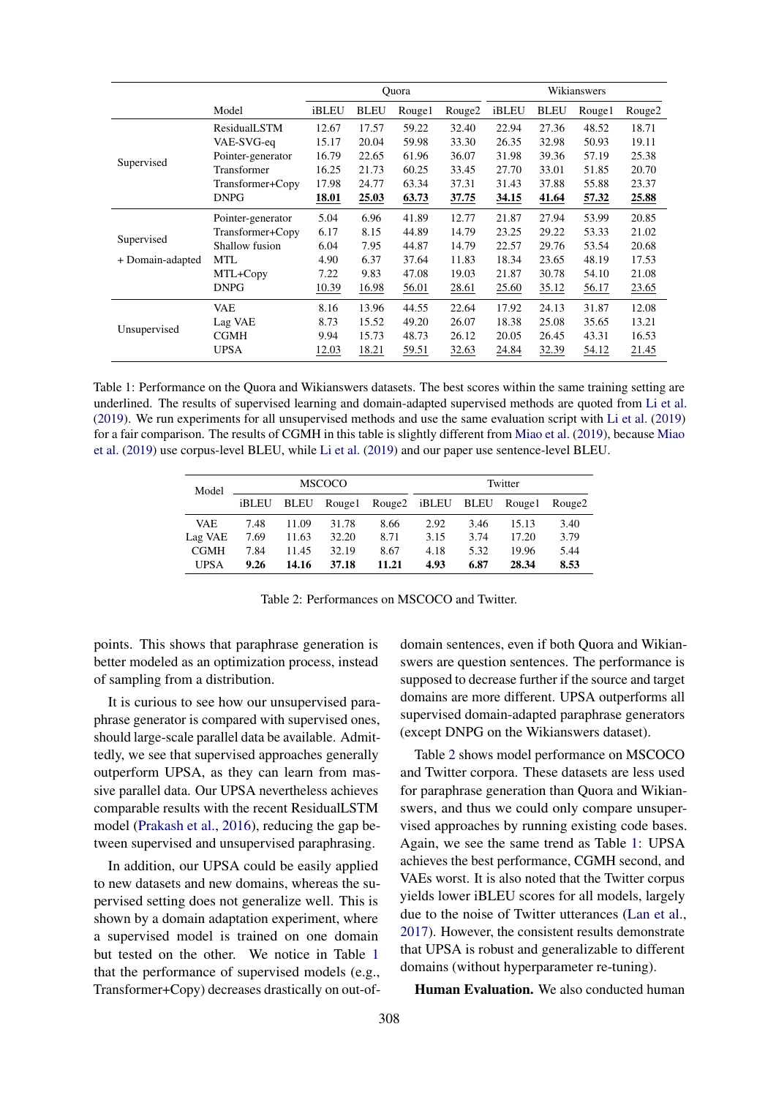<span id="page-6-0"></span>

|                  |                   | Ouora |             |        | Wikianswers        |       |             |        |                    |
|------------------|-------------------|-------|-------------|--------|--------------------|-------|-------------|--------|--------------------|
|                  | Model             | iBLEU | <b>BLEU</b> | Rouge1 | Rouge <sub>2</sub> | iBLEU | <b>BLEU</b> | Rouge1 | Rouge <sub>2</sub> |
|                  | ResidualLSTM      | 12.67 | 17.57       | 59.22  | 32.40              | 22.94 | 27.36       | 48.52  | 18.71              |
|                  | VAE-SVG-ea        | 15.17 | 20.04       | 59.98  | 33.30              | 26.35 | 32.98       | 50.93  | 19.11              |
| Supervised       | Pointer-generator | 16.79 | 22.65       | 61.96  | 36.07              | 31.98 | 39.36       | 57.19  | 25.38              |
|                  | Transformer       | 16.25 | 21.73       | 60.25  | 33.45              | 27.70 | 33.01       | 51.85  | 20.70              |
|                  | Transformer+Copy  | 17.98 | 24.77       | 63.34  | 37.31              | 31.43 | 37.88       | 55.88  | 23.37              |
|                  | <b>DNPG</b>       | 18.01 | 25.03       | 63.73  | 37.75              | 34.15 | 41.64       | 57.32  | 25.88              |
|                  | Pointer-generator | 5.04  | 6.96        | 41.89  | 12.77              | 21.87 | 27.94       | 53.99  | 20.85              |
|                  | Transformer+Copy  | 6.17  | 8.15        | 44.89  | 14.79              | 23.25 | 29.22       | 53.33  | 21.02              |
| Supervised       | Shallow fusion    | 6.04  | 7.95        | 44.87  | 14.79              | 22.57 | 29.76       | 53.54  | 20.68              |
| + Domain-adapted | <b>MTL</b>        | 4.90  | 6.37        | 37.64  | 11.83              | 18.34 | 23.65       | 48.19  | 17.53              |
|                  | MTL+Copy          | 7.22  | 9.83        | 47.08  | 19.03              | 21.87 | 30.78       | 54.10  | 21.08              |
|                  | <b>DNPG</b>       | 10.39 | 16.98       | 56.01  | 28.61              | 25.60 | 35.12       | 56.17  | 23.65              |
| Unsupervised     | <b>VAE</b>        | 8.16  | 13.96       | 44.55  | 22.64              | 17.92 | 24.13       | 31.87  | 12.08              |
|                  | Lag VAE           | 8.73  | 15.52       | 49.20  | 26.07              | 18.38 | 25.08       | 35.65  | 13.21              |
|                  | <b>CGMH</b>       | 9.94  | 15.73       | 48.73  | 26.12              | 20.05 | 26.45       | 43.31  | 16.53              |
|                  | <b>UPSA</b>       | 12.03 | 18.21       | 59.51  | 32.63              | 24.84 | 32.39       | 54.12  | 21.45              |

<span id="page-6-1"></span>Table 1: Performance on the Quora and Wikianswers datasets. The best scores within the same training setting are underlined. The results of supervised learning and domain-adapted supervised methods are quoted from [Li et al.](#page-9-5) [\(2019\)](#page-9-5). We run experiments for all unsupervised methods and use the same evaluation script with [Li et al.](#page-9-5) [\(2019\)](#page-9-5) for a fair comparison. The results of CGMH in this table is slightly different from [Miao et al.](#page-9-8) [\(2019\)](#page-9-8), because [Miao](#page-9-8) [et al.](#page-9-8) [\(2019\)](#page-9-8) use corpus-level BLEU, while [Li et al.](#page-9-5) [\(2019\)](#page-9-5) and our paper use sentence-level BLEU.

| Model       | <b>MSCOCO</b> |             |        |       | Twitter           |      |        |                    |
|-------------|---------------|-------------|--------|-------|-------------------|------|--------|--------------------|
|             | iBLEU         | <b>BLEU</b> | Rouge1 |       | Rouge2 iBLEU BLEU |      | Rouge1 | Rouge <sub>2</sub> |
| VAE.        | 7.48          | 11.09       | 31.78  | 8.66  | 2.92              | 3.46 | 15.13  | 3.40               |
| Lag VAE     | 7.69          | 11.63       | 32.20  | 8.71  | 3.15              | 3.74 | 17.20  | 3.79               |
| <b>CGMH</b> | 7.84          | 11.45       | 32.19  | 8.67  | 4.18              | 5.32 | 19.96  | 5.44               |
| <b>UPSA</b> | 9.26          | 14.16       | 37.18  | 11.21 | 4.93              | 6.87 | 28.34  | 8.53               |

Table 2: Performances on MSCOCO and Twitter.

points. This shows that paraphrase generation is better modeled as an optimization process, instead of sampling from a distribution.

It is curious to see how our unsupervised paraphrase generator is compared with supervised ones, should large-scale parallel data be available. Admittedly, we see that supervised approaches generally outperform UPSA, as they can learn from massive parallel data. Our UPSA nevertheless achieves comparable results with the recent ResidualLSTM model [\(Prakash et al.,](#page-9-2) [2016\)](#page-9-2), reducing the gap between supervised and unsupervised paraphrasing.

In addition, our UPSA could be easily applied to new datasets and new domains, whereas the supervised setting does not generalize well. This is shown by a domain adaptation experiment, where a supervised model is trained on one domain but tested on the other. We notice in Table [1](#page-6-0) that the performance of supervised models (e.g., Transformer+Copy) decreases drastically on out-ofdomain sentences, even if both Quora and Wikianswers are question sentences. The performance is supposed to decrease further if the source and target domains are more different. UPSA outperforms all supervised domain-adapted paraphrase generators (except DNPG on the Wikianswers dataset).

Table [2](#page-6-1) shows model performance on MSCOCO and Twitter corpora. These datasets are less used for paraphrase generation than Quora and Wikianswers, and thus we could only compare unsupervised approaches by running existing code bases. Again, we see the same trend as Table [1:](#page-6-0) UPSA achieves the best performance, CGMH second, and VAEs worst. It is also noted that the Twitter corpus yields lower iBLEU scores for all models, largely due to the noise of Twitter utterances [\(Lan et al.,](#page-9-6) [2017\)](#page-9-6). However, the consistent results demonstrate that UPSA is robust and generalizable to different domains (without hyperparameter re-tuning).

Human Evaluation. We also conducted human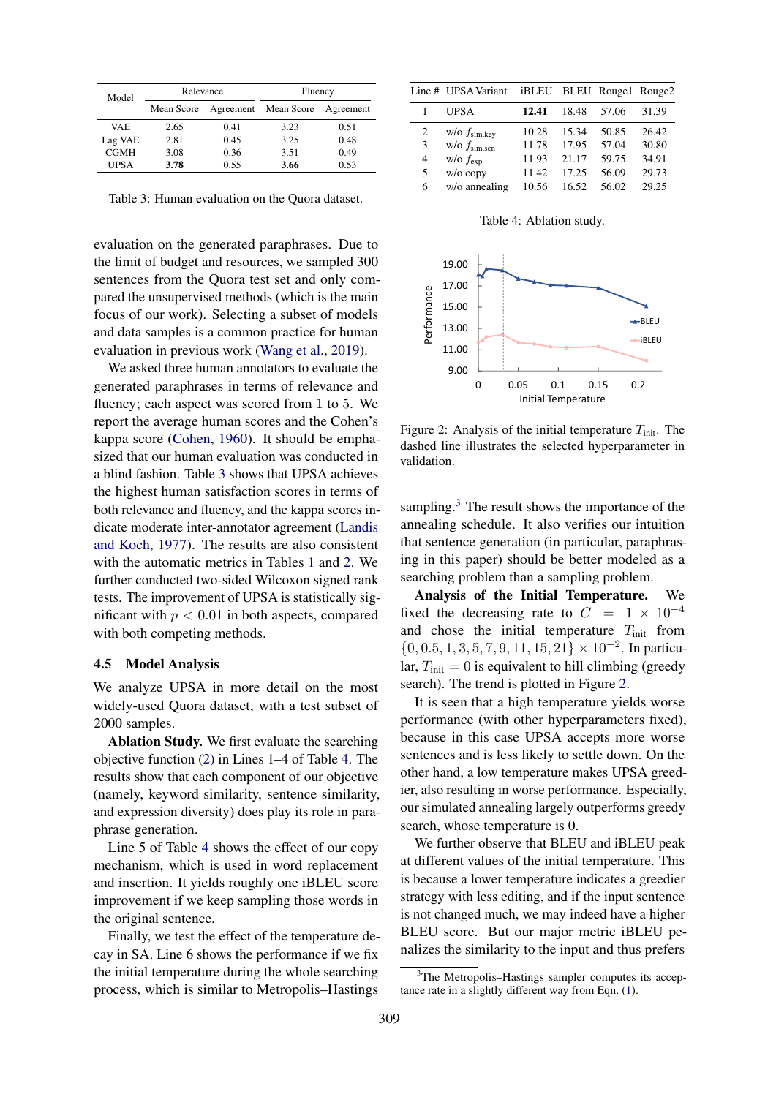<span id="page-7-0"></span>

| Model       | Relevance  |                      | Fluency |           |  |
|-------------|------------|----------------------|---------|-----------|--|
|             | Mean Score | Agreement Mean Score |         | Agreement |  |
| <b>VAE</b>  | 2.65       | 0.41                 | 3.23    | 0.51      |  |
| Lag VAE     | 2.81       | 0.45                 | 3.25    | 0.48      |  |
| <b>CGMH</b> | 3.08       | 0.36                 | 3.51    | 0.49      |  |
| UPSA        | 3.78       | 0.55                 | 3.66    | 0.53      |  |

Table 3: Human evaluation on the Quora dataset.

evaluation on the generated paraphrases. Due to the limit of budget and resources, we sampled 300 sentences from the Quora test set and only compared the unsupervised methods (which is the main focus of our work). Selecting a subset of models and data samples is a common practice for human evaluation in previous work [\(Wang et al.,](#page-10-2) [2019\)](#page-10-2).

We asked three human annotators to evaluate the generated paraphrases in terms of relevance and fluency; each aspect was scored from 1 to 5. We report the average human scores and the Cohen's kappa score [\(Cohen,](#page-8-10) [1960\)](#page-8-10). It should be emphasized that our human evaluation was conducted in a blind fashion. Table [3](#page-7-0) shows that UPSA achieves the highest human satisfaction scores in terms of both relevance and fluency, and the kappa scores indicate moderate inter-annotator agreement [\(Landis](#page-9-29) [and Koch,](#page-9-29) [1977\)](#page-9-29). The results are also consistent with the automatic metrics in Tables [1](#page-6-0) and [2.](#page-6-1) We further conducted two-sided Wilcoxon signed rank tests. The improvement of UPSA is statistically significant with  $p < 0.01$  in both aspects, compared with both competing methods.

#### 4.5 Model Analysis

We analyze UPSA in more detail on the most widely-used Quora dataset, with a test subset of 2000 samples.

Ablation Study. We first evaluate the searching objective function [\(2\)](#page-2-0) in Lines 1–4 of Table [4.](#page-7-1) The results show that each component of our objective (namely, keyword similarity, sentence similarity, and expression diversity) does play its role in paraphrase generation.

Line 5 of Table [4](#page-7-1) shows the effect of our copy mechanism, which is used in word replacement and insertion. It yields roughly one iBLEU score improvement if we keep sampling those words in the original sentence.

Finally, we test the effect of the temperature decay in SA. Line 6 shows the performance if we fix the initial temperature during the whole searching process, which is similar to Metropolis–Hastings

<span id="page-7-1"></span>

|                | Line # UPSA Variant         | iBLEU |       | BLEU Rouge1 Rouge2 |       |
|----------------|-----------------------------|-------|-------|--------------------|-------|
|                | UPSA                        | 12.41 | 18.48 | 57.06              | 31.39 |
| $\mathfrak{D}$ | $w$ /0 $f_{sim,key}$        | 10.28 | 15.34 | 50.85              | 26.42 |
| 3              | $w$ /0 $f_{\text{sim,sen}}$ | 11.78 | 17.95 | 57.04              | 30.80 |
| $\overline{4}$ | $w/o f_{exp}$               | 11.93 | 21.17 | 59.75              | 34.91 |
| 5              | $w$ / $o$ copy              | 11.42 | 17.25 | 56.09              | 29.73 |
| 6              | w/o annealing               | 10.56 | 16.52 | 56.02              | 29.25 |
|                |                             |       |       |                    |       |

Table 4: Ablation study.

<span id="page-7-3"></span>

Figure 2: Analysis of the initial temperature  $T_{init}$ . The dashed line illustrates the selected hyperparameter in validation.

sampling.<sup>[3](#page-7-2)</sup> The result shows the importance of the annealing schedule. It also verifies our intuition that sentence generation (in particular, paraphrasing in this paper) should be better modeled as a searching problem than a sampling problem.

Analysis of the Initial Temperature. We fixed the decreasing rate to  $C = 1 \times 10^{-4}$ and chose the initial temperature  $T_{\text{init}}$  from  ${0, 0.5, 1, 3, 5, 7, 9, 11, 15, 21} \times 10^{-2}$ . In particular,  $T_{\text{init}} = 0$  is equivalent to hill climbing (greedy search). The trend is plotted in Figure [2.](#page-7-3)

It is seen that a high temperature yields worse performance (with other hyperparameters fixed), because in this case UPSA accepts more worse sentences and is less likely to settle down. On the other hand, a low temperature makes UPSA greedier, also resulting in worse performance. Especially, our simulated annealing largely outperforms greedy search, whose temperature is 0.

We further observe that BLEU and iBLEU peak at different values of the initial temperature. This is because a lower temperature indicates a greedier strategy with less editing, and if the input sentence is not changed much, we may indeed have a higher BLEU score. But our major metric iBLEU penalizes the similarity to the input and thus prefers

<span id="page-7-2"></span><sup>&</sup>lt;sup>3</sup>The Metropolis–Hastings sampler computes its acceptance rate in a slightly different way from Eqn. [\(1\)](#page-2-1).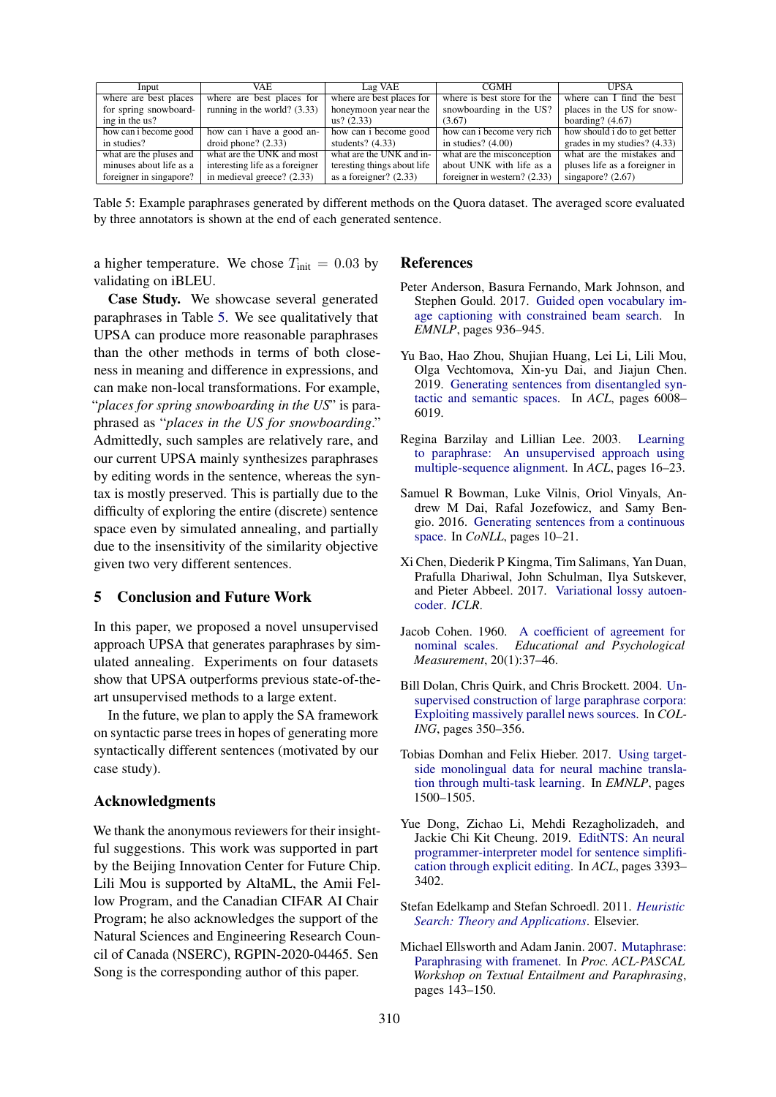<span id="page-8-11"></span>

| Input                   | VAE.                            | Lag VAE                     | <b>CGMH</b>                    | <b>UPSA</b>                   |
|-------------------------|---------------------------------|-----------------------------|--------------------------------|-------------------------------|
| where are best places   | where are best places for       | where are best places for   | where is best store for the    | where can I find the best     |
| for spring snowboard-   | running in the world? $(3.33)$  | honeymoon year near the     | snowboarding in the US?        | places in the US for snow-    |
| ing in the us?          |                                 | us? (2.33)                  | (3.67)                         | boarding? $(4.67)$            |
| how can i become good   | how can i have a good an-       | how can i become good       | how can i become very rich     | how should i do to get better |
| in studies?             | droid phone? $(2.33)$           | students? $(4.33)$          | in studies? $(4.00)$           | grades in my studies? (4.33)  |
| what are the pluses and | what are the UNK and most       | what are the UNK and in-    | what are the misconception     | what are the mistakes and     |
| minuses about life as a | interesting life as a foreigner | teresting things about life | about UNK with life as a       | pluses life as a foreigner in |
| foreigner in singapore? | in medieval greece? (2.33)      | as a foreigner? $(2.33)$    | foreigner in western? $(2.33)$ | singapore? $(2.67)$           |

Table 5: Example paraphrases generated by different methods on the Quora dataset. The averaged score evaluated by three annotators is shown at the end of each generated sentence.

a higher temperature. We chose  $T_{\text{init}} = 0.03$  by validating on iBLEU.

Case Study. We showcase several generated paraphrases in Table [5.](#page-8-11) We see qualitatively that UPSA can produce more reasonable paraphrases than the other methods in terms of both closeness in meaning and difference in expressions, and can make non-local transformations. For example, "*places for spring snowboarding in the US*" is paraphrased as "*places in the US for snowboarding*." Admittedly, such samples are relatively rare, and our current UPSA mainly synthesizes paraphrases by editing words in the sentence, whereas the syntax is mostly preserved. This is partially due to the difficulty of exploring the entire (discrete) sentence space even by simulated annealing, and partially due to the insensitivity of the similarity objective given two very different sentences.

# 5 Conclusion and Future Work

In this paper, we proposed a novel unsupervised approach UPSA that generates paraphrases by simulated annealing. Experiments on four datasets show that UPSA outperforms previous state-of-theart unsupervised methods to a large extent.

In the future, we plan to apply the SA framework on syntactic parse trees in hopes of generating more syntactically different sentences (motivated by our case study).

### Acknowledgments

We thank the anonymous reviewers for their insightful suggestions. This work was supported in part by the Beijing Innovation Center for Future Chip. Lili Mou is supported by AltaML, the Amii Fellow Program, and the Canadian CIFAR AI Chair Program; he also acknowledges the support of the Natural Sciences and Engineering Research Council of Canada (NSERC), RGPIN-2020-04465. Sen Song is the corresponding author of this paper.

#### References

- <span id="page-8-7"></span>Peter Anderson, Basura Fernando, Mark Johnson, and Stephen Gould. 2017. [Guided open vocabulary im](https://www.aclweb.org/anthology/D17-1098)[age captioning with constrained beam search.](https://www.aclweb.org/anthology/D17-1098) In *EMNLP*, pages 936–945.
- <span id="page-8-2"></span>Yu Bao, Hao Zhou, Shujian Huang, Lei Li, Lili Mou, Olga Vechtomova, Xin-yu Dai, and Jiajun Chen. 2019. [Generating sentences from disentangled syn](https://doi.org/10.18653/v1/P19-1602)[tactic and semantic spaces.](https://doi.org/10.18653/v1/P19-1602) In *ACL*, pages 6008– 6019.
- <span id="page-8-0"></span>Regina Barzilay and Lillian Lee. 2003. [Learning](https://www.aclweb.org/anthology/N03-1003) [to paraphrase: An unsupervised approach using](https://www.aclweb.org/anthology/N03-1003) [multiple-sequence alignment.](https://www.aclweb.org/anthology/N03-1003) In *ACL*, pages 16–23.
- <span id="page-8-1"></span>Samuel R Bowman, Luke Vilnis, Oriol Vinyals, Andrew M Dai, Rafal Jozefowicz, and Samy Bengio. 2016. [Generating sentences from a continuous](https://www.aclweb.org/anthology/K16-1002) [space.](https://www.aclweb.org/anthology/K16-1002) In *CoNLL*, pages 10–21.
- <span id="page-8-8"></span>Xi Chen, Diederik P Kingma, Tim Salimans, Yan Duan, Prafulla Dhariwal, John Schulman, Ilya Sutskever, and Pieter Abbeel. 2017. [Variational lossy autoen](https://openreview.net/pdf?id=BysvGP5ee)[coder.](https://openreview.net/pdf?id=BysvGP5ee) *ICLR*.
- <span id="page-8-10"></span>Jacob Cohen. 1960. [A coefficient of agreement for](https://doi.org/10.1177%2F001316446002000104) [nominal scales.](https://doi.org/10.1177%2F001316446002000104) *Educational and Psychological Measurement*, 20(1):37–46.
- <span id="page-8-4"></span>Bill Dolan, Chris Quirk, and Chris Brockett. 2004. [Un](https://www.aclweb.org/anthology/C04-1051)[supervised construction of large paraphrase corpora:](https://www.aclweb.org/anthology/C04-1051) [Exploiting massively parallel news sources.](https://www.aclweb.org/anthology/C04-1051) In *COL-ING*, pages 350–356.
- <span id="page-8-9"></span>Tobias Domhan and Felix Hieber. 2017. [Using target](https://www.aclweb.org/anthology/D17-1158)[side monolingual data for neural machine transla](https://www.aclweb.org/anthology/D17-1158)[tion through multi-task learning.](https://www.aclweb.org/anthology/D17-1158) In *EMNLP*, pages 1500–1505.
- <span id="page-8-5"></span>Yue Dong, Zichao Li, Mehdi Rezagholizadeh, and Jackie Chi Kit Cheung. 2019. [EditNTS: An neural](https://www.aclweb.org/anthology/P19-1331) [programmer-interpreter model for sentence simplifi](https://www.aclweb.org/anthology/P19-1331)[cation through explicit editing.](https://www.aclweb.org/anthology/P19-1331) In *ACL*, pages 3393– 3402.
- <span id="page-8-6"></span>Stefan Edelkamp and Stefan Schroedl. 2011. *[Heuristic](https://doi.org/10.1016/C2009-0-16511-X) [Search: Theory and Applications](https://doi.org/10.1016/C2009-0-16511-X)*. Elsevier.
- <span id="page-8-3"></span>Michael Ellsworth and Adam Janin. 2007. [Mutaphrase:](https://www.aclweb.org/anthology/W07-1424) [Paraphrasing with framenet.](https://www.aclweb.org/anthology/W07-1424) In *Proc. ACL-PASCAL Workshop on Textual Entailment and Paraphrasing*, pages 143–150.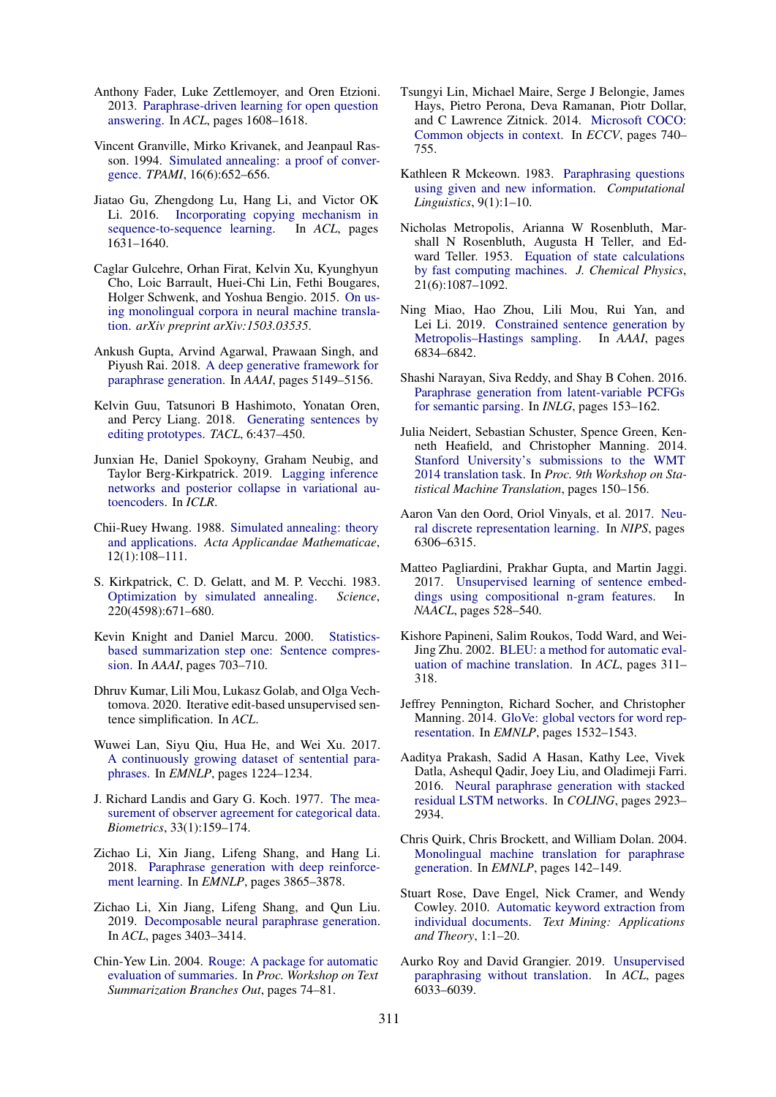- <span id="page-9-24"></span>Anthony Fader, Luke Zettlemoyer, and Oren Etzioni. 2013. [Paraphrase-driven learning for open question](https://www.aclweb.org/anthology/P13-1158) [answering.](https://www.aclweb.org/anthology/P13-1158) In *ACL*, pages 1608–1618.
- <span id="page-9-17"></span>Vincent Granville, Mirko Krivanek, and Jeanpaul Rasson. 1994. [Simulated annealing: a proof of conver](https://doi.org/10.1109/34.295910)[gence.](https://doi.org/10.1109/34.295910) *TPAMI*, 16(6):652–656.
- <span id="page-9-23"></span>Jiatao Gu, Zhengdong Lu, Hang Li, and Victor OK Li. 2016. [Incorporating copying mechanism in](https://www.aclweb.org/anthology/P16-1154/) [sequence-to-sequence learning.](https://www.aclweb.org/anthology/P16-1154/) In *ACL*, pages 1631–1640.
- <span id="page-9-27"></span>Caglar Gulcehre, Orhan Firat, Kelvin Xu, Kyunghyun Cho, Loic Barrault, Huei-Chi Lin, Fethi Bougares, Holger Schwenk, and Yoshua Bengio. 2015. [On us](https://arxiv.org/abs/1503.03535)[ing monolingual corpora in neural machine transla](https://arxiv.org/abs/1503.03535)[tion.](https://arxiv.org/abs/1503.03535) *arXiv preprint arXiv:1503.03535*.
- <span id="page-9-3"></span>Ankush Gupta, Arvind Agarwal, Prawaan Singh, and Piyush Rai. 2018. [A deep generative framework for](https://arxiv.org/abs/1709.05074) [paraphrase generation.](https://arxiv.org/abs/1709.05074) In *AAAI*, pages 5149–5156.
- <span id="page-9-14"></span>Kelvin Guu, Tatsunori B Hashimoto, Yonatan Oren, and Percy Liang. 2018. [Generating sentences by](https://www.aclweb.org/anthology/Q18-1030) [editing prototypes.](https://www.aclweb.org/anthology/Q18-1030) *TACL*, 6:437–450.
- <span id="page-9-26"></span>Junxian He, Daniel Spokoyny, Graham Neubig, and Taylor Berg-Kirkpatrick. 2019. [Lagging inference](https://arxiv.org/abs/1901.05534) [networks and posterior collapse in variational au](https://arxiv.org/abs/1901.05534)[toencoders.](https://arxiv.org/abs/1901.05534) In *ICLR*.
- <span id="page-9-18"></span>Chii-Ruey Hwang. 1988. [Simulated annealing: theory](https://doi.org/10.1007/978-94-015-7744-1) [and applications.](https://doi.org/10.1007/978-94-015-7744-1) *Acta Applicandae Mathematicae*, 12(1):108–111.
- <span id="page-9-16"></span>S. Kirkpatrick, C. D. Gelatt, and M. P. Vecchi. 1983. [Optimization by simulated annealing.](https://doi.org/10.1126/science.220.4598.671) *Science*, 220(4598):671–680.
- <span id="page-9-1"></span>Kevin Knight and Daniel Marcu. 2000. [Statistics](https://aaai.org/Library/AAAI/2000/aaai00-108.php)[based summarization step one: Sentence compres](https://aaai.org/Library/AAAI/2000/aaai00-108.php)[sion.](https://aaai.org/Library/AAAI/2000/aaai00-108.php) In *AAAI*, pages 703–710.
- <span id="page-9-15"></span>Dhruv Kumar, Lili Mou, Lukasz Golab, and Olga Vechtomova. 2020. Iterative edit-based unsupervised sentence simplification. In *ACL*.
- <span id="page-9-6"></span>Wuwei Lan, Siyu Qiu, Hua He, and Wei Xu. 2017. [A continuously growing dataset of sentential para](https://www.aclweb.org/anthology/D17-1126)[phrases.](https://www.aclweb.org/anthology/D17-1126) In *EMNLP*, pages 1224–1234.
- <span id="page-9-29"></span>J. Richard Landis and Gary G. Koch. 1977. [The mea](http://www.jstor.org/stable/2529310)[surement of observer agreement for categorical data.](http://www.jstor.org/stable/2529310) *Biometrics*, 33(1):159–174.
- <span id="page-9-7"></span>Zichao Li, Xin Jiang, Lifeng Shang, and Hang Li. 2018. [Paraphrase generation with deep reinforce](https://www.aclweb.org/anthology/D18-1421/)[ment learning.](https://www.aclweb.org/anthology/D18-1421/) In *EMNLP*, pages 3865–3878.
- <span id="page-9-5"></span>Zichao Li, Xin Jiang, Lifeng Shang, and Qun Liu. 2019. [Decomposable neural paraphrase generation.](https://www.aclweb.org/anthology/P19-1332) In *ACL*, pages 3403–3414.
- <span id="page-9-28"></span>Chin-Yew Lin. 2004. [Rouge: A package for automatic](https://www.aclweb.org/anthology/W04-1013) [evaluation of summaries.](https://www.aclweb.org/anthology/W04-1013) In *Proc. Workshop on Text Summarization Branches Out*, pages 74–81.
- <span id="page-9-25"></span>Tsungyi Lin, Michael Maire, Serge J Belongie, James Hays, Pietro Perona, Deva Ramanan, Piotr Dollar, and C Lawrence Zitnick. 2014. [Microsoft COCO:](https://doi.org/10.1007/978-3-319-10602-1_48) [Common objects in context.](https://doi.org/10.1007/978-3-319-10602-1_48) In *ECCV*, pages 740– 755.
- <span id="page-9-0"></span>Kathleen R Mckeown. 1983. [Paraphrasing questions](https://www.aclweb.org/anthology/J83-1001) [using given and new information.](https://www.aclweb.org/anthology/J83-1001) *Computational Linguistics*, 9(1):1–10.
- <span id="page-9-13"></span>Nicholas Metropolis, Arianna W Rosenbluth, Marshall N Rosenbluth, Augusta H Teller, and Edward Teller. 1953. [Equation of state calculations](https://doi.org/10.1063/1.1699114) [by fast computing machines.](https://doi.org/10.1063/1.1699114) *J. Chemical Physics*, 21(6):1087–1092.
- <span id="page-9-8"></span>Ning Miao, Hao Zhou, Lili Mou, Rui Yan, and Lei Li. 2019. [Constrained sentence generation by](https://doi.org/10.1609/aaai.v33i01.33016834) [Metropolis–Hastings sampling.](https://doi.org/10.1609/aaai.v33i01.33016834) In *AAAI*, pages 6834–6842.
- <span id="page-9-9"></span>Shashi Narayan, Siva Reddy, and Shay B Cohen. 2016. [Paraphrase generation from latent-variable PCFGs](https://www.aclweb.org/anthology/W16-6625) [for semantic parsing.](https://www.aclweb.org/anthology/W16-6625) In *INLG*, pages 153–162.
- <span id="page-9-4"></span>Julia Neidert, Sebastian Schuster, Spence Green, Kenneth Heafield, and Christopher Manning. 2014. [Stanford University's submissions to the WMT](https://www.aclweb.org/anthology/W14-3316) [2014 translation task.](https://www.aclweb.org/anthology/W14-3316) In *Proc. 9th Workshop on Statistical Machine Translation*, pages 150–156.
- <span id="page-9-12"></span>Aaron Van den Oord, Oriol Vinyals, et al. 2017. [Neu](http://papers.nips.cc/paper/5950-skip-thought-vectors)[ral discrete representation learning.](http://papers.nips.cc/paper/5950-skip-thought-vectors) In *NIPS*, pages 6306–6315.
- <span id="page-9-21"></span>Matteo Pagliardini, Prakhar Gupta, and Martin Jaggi. 2017. [Unsupervised learning of sentence embed](https://www.aclweb.org/anthology/N18-1049)[dings using compositional n-gram features.](https://www.aclweb.org/anthology/N18-1049) In *NAACL*, pages 528–540.
- <span id="page-9-22"></span>Kishore Papineni, Salim Roukos, Todd Ward, and Wei-Jing Zhu. 2002. [BLEU: a method for automatic eval](https://www.aclweb.org/anthology/P02-1040)[uation of machine translation.](https://www.aclweb.org/anthology/P02-1040) In *ACL*, pages 311– 318.
- <span id="page-9-20"></span>Jeffrey Pennington, Richard Socher, and Christopher Manning. 2014. [GloVe: global vectors for word rep](https://www.aclweb.org/anthology/D14-1162)[resentation.](https://www.aclweb.org/anthology/D14-1162) In *EMNLP*, pages 1532–1543.
- <span id="page-9-2"></span>Aaditya Prakash, Sadid A Hasan, Kathy Lee, Vivek Datla, Ashequl Qadir, Joey Liu, and Oladimeji Farri. 2016. [Neural paraphrase generation with stacked](https://www.aclweb.org/anthology/C16-1275) [residual LSTM networks.](https://www.aclweb.org/anthology/C16-1275) In *COLING*, pages 2923– 2934.
- <span id="page-9-10"></span>Chris Quirk, Chris Brockett, and William Dolan. 2004. [Monolingual machine translation for paraphrase](https://www.aclweb.org/anthology/W04-3219) [generation.](https://www.aclweb.org/anthology/W04-3219) In *EMNLP*, pages 142–149.
- <span id="page-9-19"></span>Stuart Rose, Dave Engel, Nick Cramer, and Wendy Cowley. 2010. [Automatic keyword extraction from](https://doi.org/10.1002/9780470689646.ch1) [individual documents.](https://doi.org/10.1002/9780470689646.ch1) *Text Mining: Applications and Theory*, 1:1–20.
- <span id="page-9-11"></span>Aurko Roy and David Grangier. 2019. [Unsupervised](https://doi.org/10.18653/v1/P19-1605) [paraphrasing without translation.](https://doi.org/10.18653/v1/P19-1605) In *ACL*, pages 6033–6039.